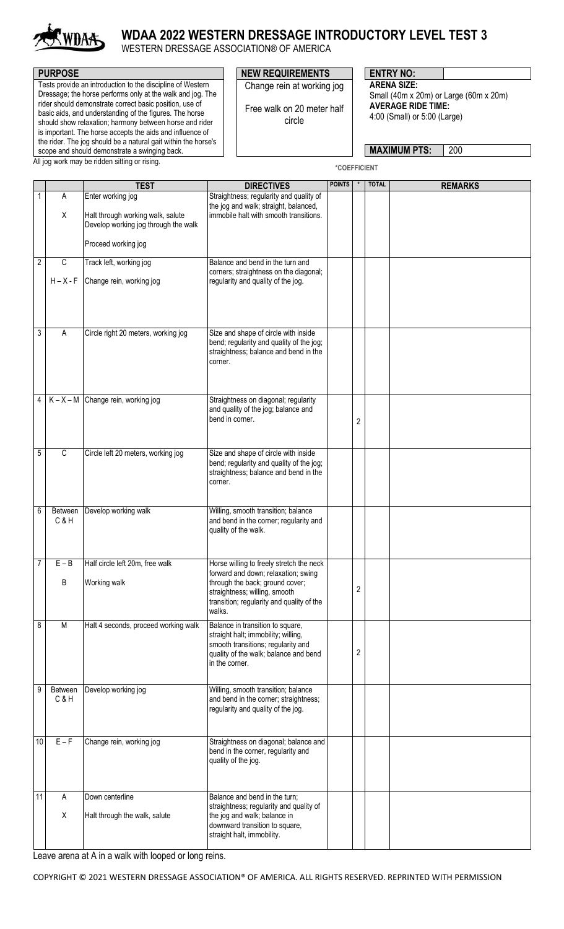

# **WDAA 2022 WESTERN DRESSAGE INTRODUCTORY LEVEL TEST 3**

WESTERN DRESSAGE ASSOCIATION® OF AMERICA

Tests provide an introduction to the discipline of Western Dressage; the horse performs only at the walk and jog. The rider should demonstrate correct basic position, use of basic aids, and understanding of the figures. The horse should show relaxation; harmony between horse and rider is important. The horse accepts the aids and influence of the rider. The jog should be a natural gait within the horse's scope and should demonstrate a swinging back.

#### All jog work may be ridden sitting or rising.

### **PURPOSE PURPOSE NEW REQUIREMENTS ENTRY NO:** Change rein at working jog

Free walk on 20 meter half circle

**ARENA SIZE:**  Small (40m x 20m) or Large (60m x 20m) **AVERAGE RIDE TIME:** 4:00 (Small) or 5:00 (Large)

**MAXIMUM PTS:** 200

**\*COEFFICIENT**

|                |                | <b>TEST</b>                                                               | <b>DIRECTIVES</b>                                                                                                                                                                                          | <b>POINTS</b> |   | <b>TOTAL</b> | <b>REMARKS</b> |
|----------------|----------------|---------------------------------------------------------------------------|------------------------------------------------------------------------------------------------------------------------------------------------------------------------------------------------------------|---------------|---|--------------|----------------|
| 1              | Α              | Enter working jog                                                         | Straightness; regularity and quality of<br>the jog and walk; straight, balanced,                                                                                                                           |               |   |              |                |
|                | Χ              | Halt through working walk, salute<br>Develop working jog through the walk | immobile halt with smooth transitions.                                                                                                                                                                     |               |   |              |                |
|                |                | Proceed working jog                                                       |                                                                                                                                                                                                            |               |   |              |                |
| $\overline{2}$ | C              | Track left, working jog                                                   | Balance and bend in the turn and<br>corners; straightness on the diagonal;                                                                                                                                 |               |   |              |                |
|                | $H - X - F$    | Change rein, working jog                                                  | regularity and quality of the jog.                                                                                                                                                                         |               |   |              |                |
| 3              | A              | Circle right 20 meters, working jog                                       | Size and shape of circle with inside<br>bend; regularity and quality of the jog;<br>straightness; balance and bend in the<br>corner.                                                                       |               |   |              |                |
| $\overline{4}$ |                | $K - X - M$ Change rein, working jog                                      | Straightness on diagonal; regularity<br>and quality of the jog; balance and<br>bend in corner.                                                                                                             |               | 2 |              |                |
| 5              | C              | Circle left 20 meters, working jog                                        | Size and shape of circle with inside<br>bend; regularity and quality of the jog;<br>straightness; balance and bend in the<br>corner.                                                                       |               |   |              |                |
| 6              | Between<br>C&H | Develop working walk                                                      | Willing, smooth transition; balance<br>and bend in the corner; regularity and<br>quality of the walk.                                                                                                      |               |   |              |                |
| 7              | $E - B$<br>B   | Half circle left 20m, free walk<br>Working walk                           | Horse willing to freely stretch the neck<br>forward and down; relaxation; swing<br>through the back; ground cover;<br>straightness; willing, smooth<br>transition; regularity and quality of the<br>walks. |               | 2 |              |                |
| 8              | M              | Halt 4 seconds, proceed working walk                                      | Balance in transition to square,<br>straight halt; immobility; willing,<br>smooth transitions; regularity and<br>quality of the walk; balance and bend<br>in the corner.                                   |               | 2 |              |                |
| 9              | Between<br>C&H | Develop working jog                                                       | Willing, smooth transition; balance<br>and bend in the corner; straightness;<br>regularity and quality of the jog.                                                                                         |               |   |              |                |
| 10             | $E - F$        | Change rein, working jog                                                  | Straightness on diagonal; balance and<br>bend in the corner, regularity and<br>quality of the jog.                                                                                                         |               |   |              |                |
| 11             | A              | Down centerline                                                           | Balance and bend in the turn;<br>straightness; regularity and quality of                                                                                                                                   |               |   |              |                |
|                | Χ              | Halt through the walk, salute                                             | the jog and walk; balance in<br>downward transition to square,<br>straight halt, immobility.                                                                                                               |               |   |              |                |

Leave arena at A in a walk with looped or long reins.

COPYRIGHT © 2021 WESTERN DRESSAGE ASSOCIATION® OF AMERICA. ALL RIGHTS RESERVED. REPRINTED WITH PERMISSION